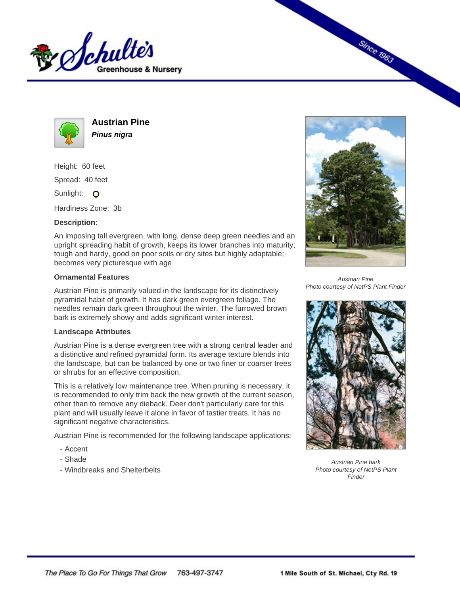



**Austrian Pine Pinus nigra**

Height: 60 feet Spread: 40 feet Sunlight: O

Hardiness Zone: 3b

## **Description:**

An imposing tall evergreen, with long, dense deep green needles and an upright spreading habit of growth, keeps its lower branches into maturity; tough and hardy, good on poor soils or dry sites but highly adaptable; becomes very picturesque with age

## **Ornamental Features**

Austrian Pine is primarily valued in the landscape for its distinctively pyramidal habit of growth. It has dark green evergreen foliage. The needles remain dark green throughout the winter. The furrowed brown bark is extremely showy and adds significant winter interest.

## **Landscape Attributes**

Austrian Pine is a dense evergreen tree with a strong central leader and a distinctive and refined pyramidal form. Its average texture blends into the landscape, but can be balanced by one or two finer or coarser trees or shrubs for an effective composition.

This is a relatively low maintenance tree. When pruning is necessary, it is recommended to only trim back the new growth of the current season, other than to remove any dieback. Deer don't particularly care for this plant and will usually leave it alone in favor of tastier treats. It has no significant negative characteristics.

Austrian Pine is recommended for the following landscape applications;

- Accent
- Shade
- Windbreaks and Shelterbelts



**Since 1963** 

Austrian Pine Photo courtesy of NetPS Plant Finder



Austrian Pine bark Photo courtesy of NetPS Plant **Finder**